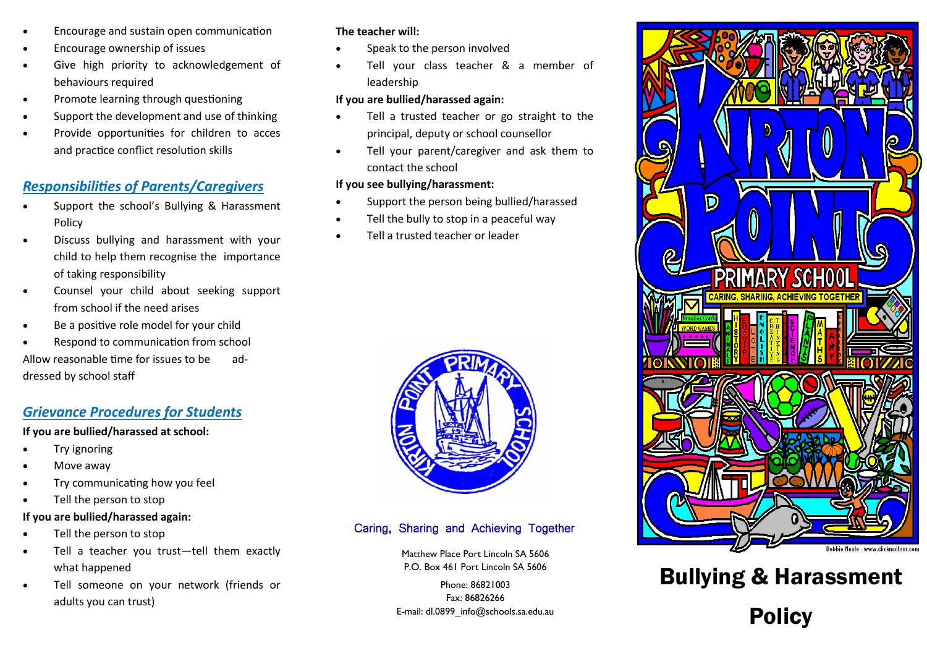- Encourage and sustain open communication
- Encourage ownership of issues
- Give high priority to acknowledgement of behaviours required
- Promote learning through questioning
- Support the development and use of thinking
- Provide opportunities for children to acces and practice conflict resolution skills

# *Responsibilities of Parents/Caregivers*

- Support the school's Bullying & Harassment Policy
- Discuss bullying and harassment with your child to help them recognise the importance of taking responsibility
- Counsel your child about seeking support from school if the need arises
- Be a positive role model for your child
- Respond to communication from school

Allow reasonable time for issues to be addressed by school staff

# *Grievance Procedures for Students*

#### **If you are bullied/harassed at school:**

- Try ignoring
- Move away
- Try communicating how you feel
- Tell the person to stop

#### **If you are bullied/harassed again:**

- Tell the person to stop
- Tell a teacher you trust—tell them exactly what happened
- Tell someone on your network (friends or adults you can trust)

#### **The teacher will:**

- Speak to the person involved
- Tell your class teacher & a member of leadership

#### **If you are bullied/harassed again:**

- Tell a trusted teacher or go straight to the principal, deputy or school counsellor
- Tell your parent/caregiver and ask them to contact the school

#### **If you see bullying/harassment:**

- Support the person being bullied/harassed
- Tell the bully to stop in a peaceful way
- Tell a trusted teacher or leader



# Caring, Sharing and Achieving Together

Matthew Place Port Lincoln SA 5606

Phone: 86821003 Fax: 86826266 E-mail: dl.0899\_info@schools.sa.edu.au



# P.O. Box 461 Port Lincoln SA 5606 **Bullying & Harassment** Policy